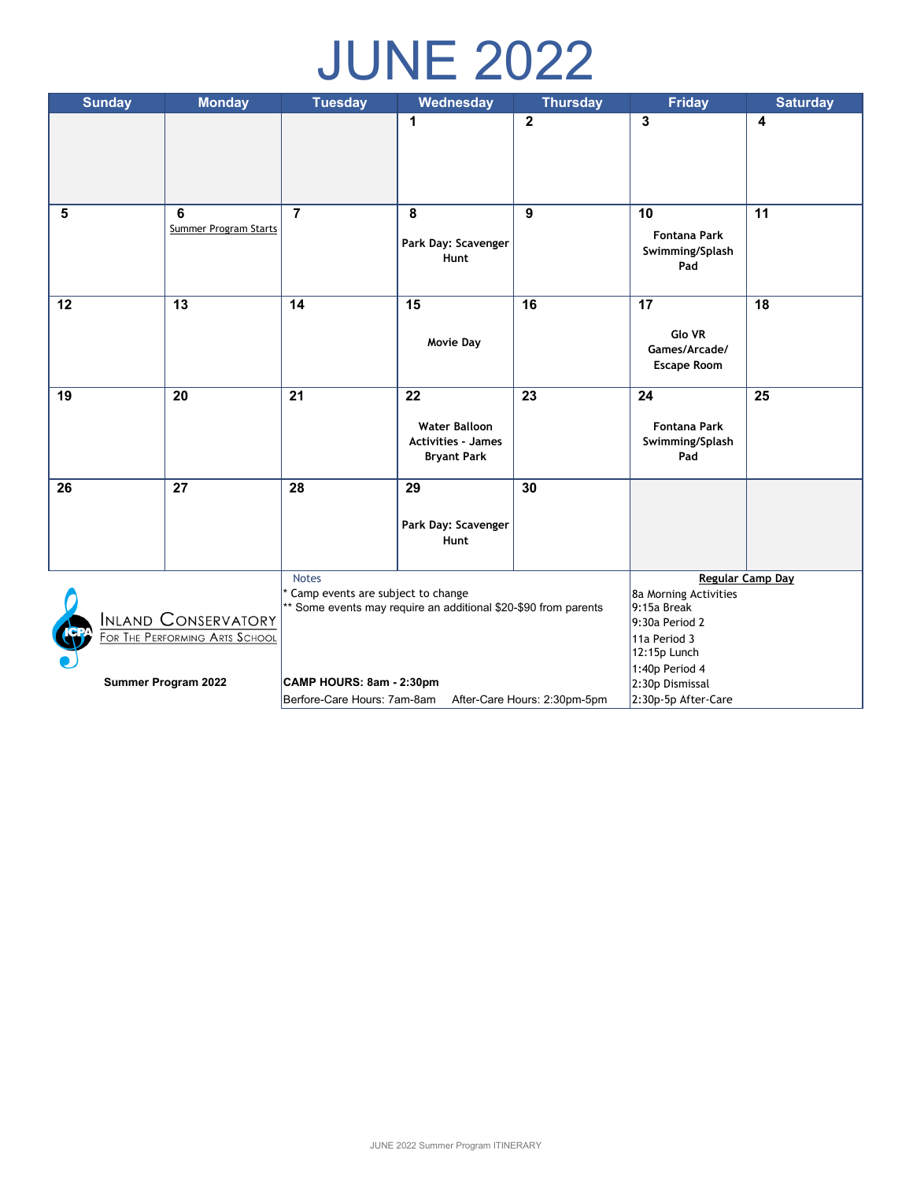# JUNE 2022

| <b>Sunday</b>                                                                                        | <b>Monday</b>         | <b>Tuesday</b>                                              | Wednesday                   | <b>Thursday</b> | <b>Friday</b>                        | <b>Saturday</b> |
|------------------------------------------------------------------------------------------------------|-----------------------|-------------------------------------------------------------|-----------------------------|-----------------|--------------------------------------|-----------------|
|                                                                                                      |                       |                                                             | $\mathbf{1}$                | $\overline{2}$  | 3                                    | 4               |
|                                                                                                      |                       |                                                             |                             |                 |                                      |                 |
|                                                                                                      |                       |                                                             |                             |                 |                                      |                 |
|                                                                                                      |                       |                                                             |                             |                 |                                      |                 |
| 5                                                                                                    | 6                     | $\overline{7}$                                              | 8                           | 9               | 10                                   | 11              |
|                                                                                                      | Summer Program Starts |                                                             | Park Day: Scavenger         |                 | <b>Fontana Park</b>                  |                 |
|                                                                                                      |                       |                                                             | Hunt                        |                 | Swimming/Splash<br>Pad               |                 |
|                                                                                                      |                       |                                                             |                             |                 |                                      |                 |
| 12                                                                                                   | 13                    | 14                                                          | 15                          | 16              | 17                                   | 18              |
|                                                                                                      |                       |                                                             |                             |                 | Glo VR                               |                 |
|                                                                                                      |                       |                                                             | <b>Movie Day</b>            |                 | Games/Arcade/                        |                 |
|                                                                                                      |                       |                                                             |                             |                 | <b>Escape Room</b>                   |                 |
| 19                                                                                                   | 20                    | $\overline{21}$                                             | 22                          | $\overline{23}$ | 24                                   | 25              |
|                                                                                                      |                       |                                                             | <b>Water Balloon</b>        |                 | <b>Fontana Park</b>                  |                 |
|                                                                                                      |                       |                                                             | <b>Activities - James</b>   |                 | Swimming/Splash                      |                 |
|                                                                                                      |                       |                                                             | <b>Bryant Park</b>          |                 | Pad                                  |                 |
| 26                                                                                                   | 27                    | 28                                                          | 29                          | 30              |                                      |                 |
|                                                                                                      |                       |                                                             |                             |                 |                                      |                 |
|                                                                                                      |                       |                                                             | Park Day: Scavenger<br>Hunt |                 |                                      |                 |
|                                                                                                      |                       |                                                             |                             |                 |                                      |                 |
|                                                                                                      |                       | <b>Notes</b>                                                |                             |                 | <b>Regular Camp Day</b>              |                 |
| Camp events are subject to change<br>** Some events may require an additional \$20-\$90 from parents |                       |                                                             |                             |                 | 8a Morning Activities<br>9:15a Break |                 |
|                                                                                                      | INLAND CONSERVATORY   |                                                             |                             |                 | 9:30a Period 2                       |                 |
| FOR THE PERFORMING ARTS SCHOOL                                                                       |                       |                                                             |                             |                 | 11a Period 3                         |                 |
|                                                                                                      |                       |                                                             |                             |                 | 12:15p Lunch                         |                 |
| <b>Summer Program 2022</b>                                                                           |                       | CAMP HOURS: 8am - 2:30pm                                    |                             |                 | 1:40p Period 4<br>2:30p Dismissal    |                 |
|                                                                                                      |                       | After-Care Hours: 2:30pm-5pm<br>Berfore-Care Hours: 7am-8am |                             |                 | 2:30p-5p After-Care                  |                 |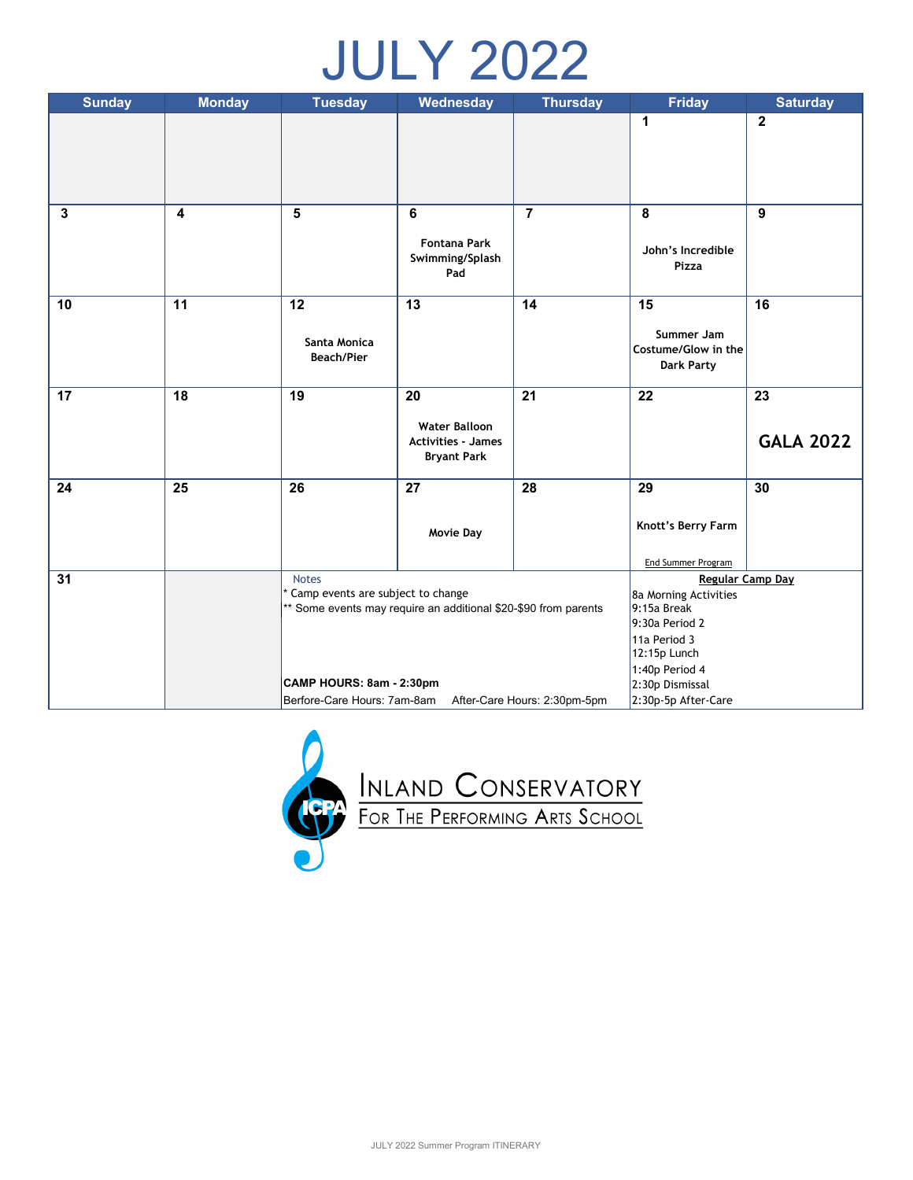# JULY 2022

| <b>Sunday</b> | <b>Monday</b>           | <b>Tuesday</b>                    | Wednesday                                                       | <b>Thursday</b>                   | <b>Friday</b>                     | <b>Saturday</b>         |
|---------------|-------------------------|-----------------------------------|-----------------------------------------------------------------|-----------------------------------|-----------------------------------|-------------------------|
|               |                         |                                   |                                                                 |                                   | $\mathbf{1}$                      | $\overline{\mathbf{2}}$ |
|               |                         |                                   |                                                                 |                                   |                                   |                         |
|               |                         |                                   |                                                                 |                                   |                                   |                         |
|               |                         |                                   |                                                                 |                                   |                                   |                         |
| $\mathbf{3}$  | $\overline{\mathbf{4}}$ | 5                                 | 6                                                               | $\overline{7}$                    | 8                                 | $\boldsymbol{9}$        |
|               |                         |                                   | <b>Fontana Park</b>                                             |                                   |                                   |                         |
|               |                         |                                   | Swimming/Splash                                                 |                                   | John's Incredible<br><b>Pizza</b> |                         |
|               |                         |                                   | Pad                                                             |                                   |                                   |                         |
| 10            | 11                      | 12                                | 13                                                              | 14                                | 15                                | 16                      |
|               |                         |                                   |                                                                 |                                   | Summer Jam                        |                         |
|               |                         | Santa Monica                      |                                                                 |                                   | Costume/Glow in the               |                         |
|               |                         | <b>Beach/Pier</b>                 |                                                                 |                                   | <b>Dark Party</b>                 |                         |
| 17            | 18                      | 19                                | 20                                                              | 21                                | 22                                | 23                      |
|               |                         |                                   |                                                                 |                                   |                                   |                         |
|               |                         |                                   | <b>Water Balloon</b><br><b>Activities - James</b>               |                                   |                                   | <b>GALA 2022</b>        |
|               |                         |                                   | <b>Bryant Park</b>                                              |                                   |                                   |                         |
| 24            | 25                      | 26                                | 27                                                              | 28                                | 29                                | 30                      |
|               |                         |                                   |                                                                 |                                   |                                   |                         |
|               |                         |                                   | <b>Movie Day</b>                                                |                                   | Knott's Berry Farm                |                         |
|               |                         |                                   |                                                                 |                                   | End Summer Program                |                         |
| 31            |                         | <b>Notes</b>                      |                                                                 |                                   | Regular Camp Day                  |                         |
|               |                         | Camp events are subject to change |                                                                 |                                   | 8a Morning Activities             |                         |
|               |                         |                                   | ** Some events may require an additional \$20-\$90 from parents | 9:15a Break<br>9:30a Period 2     |                                   |                         |
|               |                         |                                   |                                                                 | 11a Period 3                      |                                   |                         |
|               |                         |                                   |                                                                 | 12:15p Lunch                      |                                   |                         |
|               |                         | CAMP HOURS: 8am - 2:30pm          |                                                                 | 1:40p Period 4<br>2:30p Dismissal |                                   |                         |
|               |                         | Berfore-Care Hours: 7am-8am       |                                                                 | After-Care Hours: 2:30pm-5pm      | 2:30p-5p After-Care               |                         |

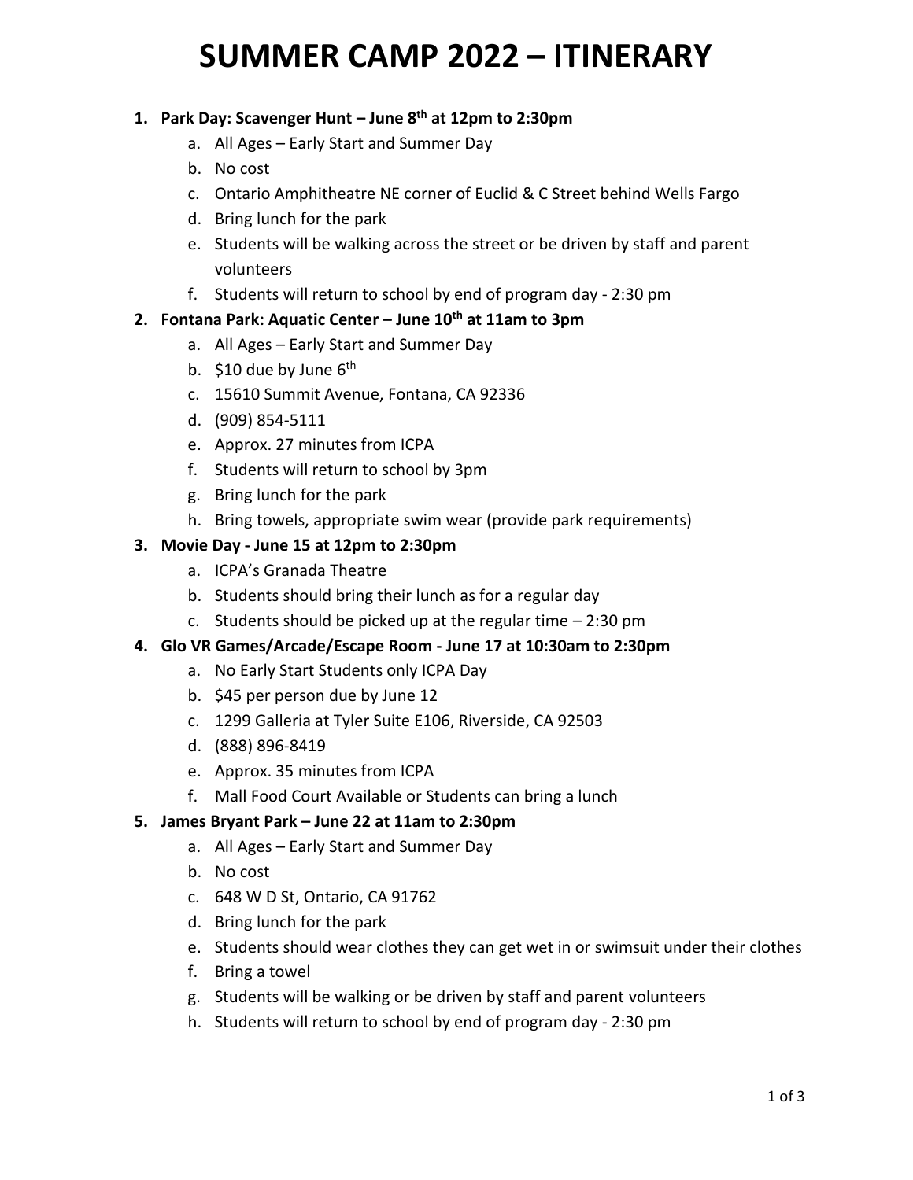# **SUMMER CAMP 2022 – ITINERARY**

## **1. Park Day: Scavenger Hunt – June 8 th at 12pm to 2:30pm**

- a. All Ages Early Start and Summer Day
- b. No cost
- c. Ontario Amphitheatre NE corner of Euclid & C Street behind Wells Fargo
- d. Bring lunch for the park
- e. Students will be walking across the street or be driven by staff and parent volunteers
- f. Students will return to school by end of program day 2:30 pm

### **2. Fontana Park: Aquatic Center – June 10th at 11am to 3pm**

- a. All Ages Early Start and Summer Day
- b. \$10 due by June 6<sup>th</sup>
- c. 15610 Summit Avenue, Fontana, CA 92336
- d. (909) 854-5111
- e. Approx. 27 minutes from ICPA
- f. Students will return to school by 3pm
- g. Bring lunch for the park
- h. Bring towels, appropriate swim wear (provide park requirements)

### **3. Movie Day - June 15 at 12pm to 2:30pm**

- a. ICPA's Granada Theatre
- b. Students should bring their lunch as for a regular day
- c. Students should be picked up at the regular time 2:30 pm

#### **4. Glo VR Games/Arcade/Escape Room - June 17 at 10:30am to 2:30pm**

- a. No Early Start Students only ICPA Day
- b. \$45 per person due by June 12
- c. 1299 Galleria at Tyler Suite E106, Riverside, CA 92503
- d. (888) 896-8419
- e. Approx. 35 minutes from ICPA
- f. Mall Food Court Available or Students can bring a lunch

#### **5. James Bryant Park – June 22 at 11am to 2:30pm**

- a. All Ages Early Start and Summer Day
- b. No cost
- c. 648 W D St, Ontario, CA 91762
- d. Bring lunch for the park
- e. Students should wear clothes they can get wet in or swimsuit under their clothes
- f. Bring a towel
- g. Students will be walking or be driven by staff and parent volunteers
- h. Students will return to school by end of program day 2:30 pm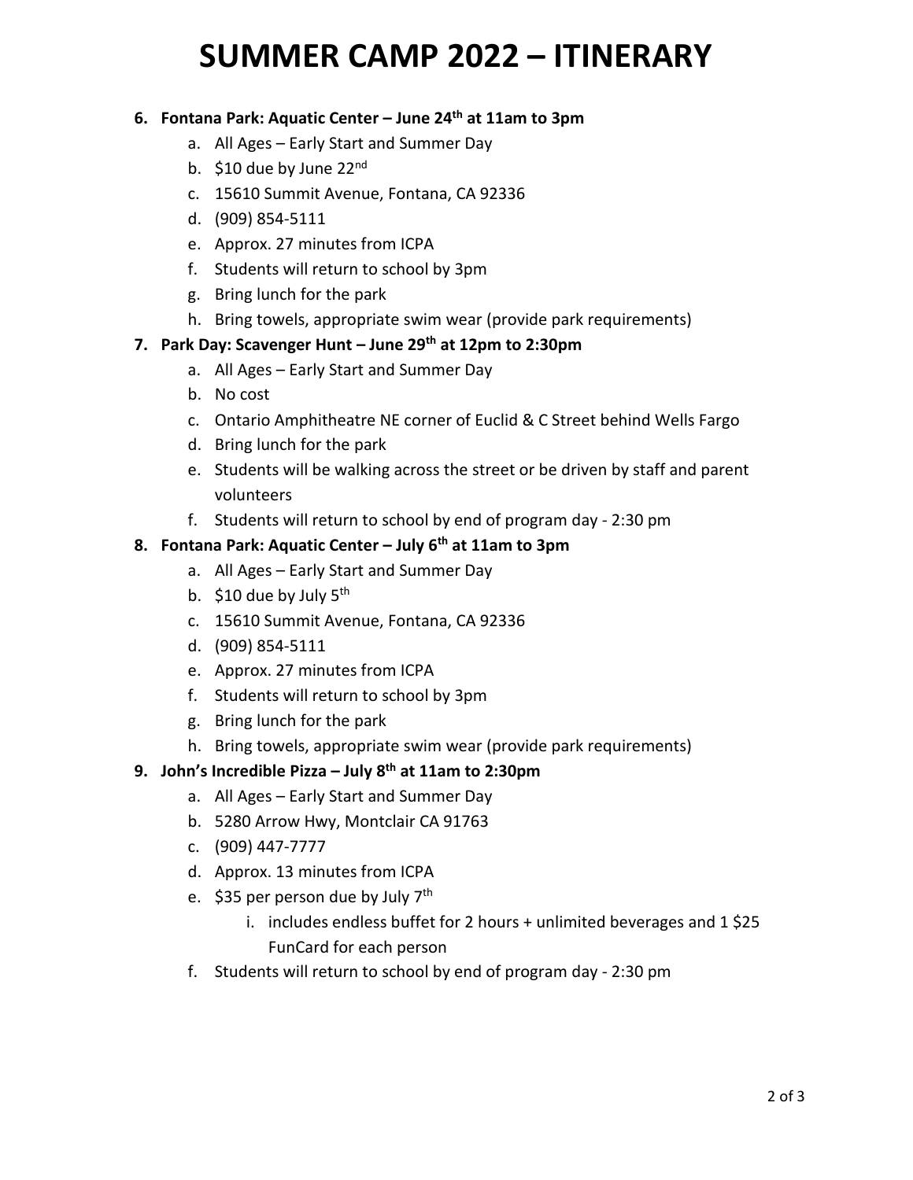# **SUMMER CAMP 2022 – ITINERARY**

#### **6. Fontana Park: Aquatic Center – June 24th at 11am to 3pm**

- a. All Ages Early Start and Summer Day
- b.  $$10$  due by June 22<sup>nd</sup>
- c. 15610 Summit Avenue, Fontana, CA 92336
- d. (909) 854-5111
- e. Approx. 27 minutes from ICPA
- f. Students will return to school by 3pm
- g. Bring lunch for the park
- h. Bring towels, appropriate swim wear (provide park requirements)

### **7. Park Day: Scavenger Hunt – June 29th at 12pm to 2:30pm**

- a. All Ages Early Start and Summer Day
- b. No cost
- c. Ontario Amphitheatre NE corner of Euclid & C Street behind Wells Fargo
- d. Bring lunch for the park
- e. Students will be walking across the street or be driven by staff and parent volunteers
- f. Students will return to school by end of program day 2:30 pm

### **8. Fontana Park: Aquatic Center – July 6th at 11am to 3pm**

- a. All Ages Early Start and Summer Day
- b. \$10 due by July 5<sup>th</sup>
- c. 15610 Summit Avenue, Fontana, CA 92336
- d. (909) 854-5111
- e. Approx. 27 minutes from ICPA
- f. Students will return to school by 3pm
- g. Bring lunch for the park
- h. Bring towels, appropriate swim wear (provide park requirements)

### **9. John's Incredible Pizza – July 8 th at 11am to 2:30pm**

- a. All Ages Early Start and Summer Day
- b. 5280 Arrow Hwy, Montclair CA 91763
- c. (909) 447-7777
- d. Approx. 13 minutes from ICPA
- e. \$35 per person due by July 7<sup>th</sup>
	- i. includes endless buffet for 2 hours + unlimited beverages and 1\$25 FunCard for each person
- f. Students will return to school by end of program day 2:30 pm